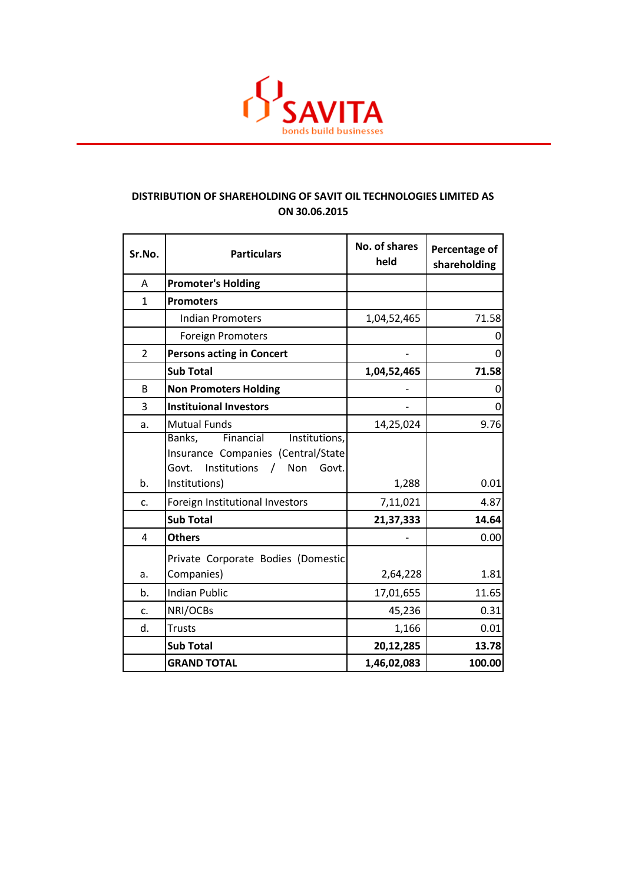

## **DISTRIBUTION OF SHAREHOLDING OF SAVIT OIL TECHNOLOGIES LIMITED AS ON 30.06.2015**

| Sr.No.         | <b>Particulars</b>                                                                                                  | No. of shares<br>held | Percentage of<br>shareholding |
|----------------|---------------------------------------------------------------------------------------------------------------------|-----------------------|-------------------------------|
| A              | <b>Promoter's Holding</b>                                                                                           |                       |                               |
| $\mathbf{1}$   | <b>Promoters</b>                                                                                                    |                       |                               |
|                | <b>Indian Promoters</b>                                                                                             | 1,04,52,465           | 71.58                         |
|                | <b>Foreign Promoters</b>                                                                                            |                       | 0                             |
| $\overline{2}$ | <b>Persons acting in Concert</b>                                                                                    |                       | 0                             |
|                | <b>Sub Total</b>                                                                                                    | 1,04,52,465           | 71.58                         |
| B              | <b>Non Promoters Holding</b>                                                                                        |                       | 0                             |
| 3              | <b>Instituional Investors</b>                                                                                       |                       | 0                             |
| a.             | <b>Mutual Funds</b>                                                                                                 | 14,25,024             | 9.76                          |
|                | Banks,<br>Financial<br>Institutions,<br>Insurance Companies (Central/State<br>Institutions<br>Govt.<br>Non<br>Govt. |                       |                               |
| b.             | Institutions)                                                                                                       | 1,288                 | 0.01                          |
| c.             | Foreign Institutional Investors                                                                                     | 7,11,021              | 4.87                          |
|                | <b>Sub Total</b>                                                                                                    | 21,37,333             | 14.64                         |
| 4              | <b>Others</b>                                                                                                       |                       | 0.00                          |
| a.             | Private Corporate Bodies (Domestic<br>Companies)                                                                    | 2,64,228              | 1.81                          |
| b.             | <b>Indian Public</b>                                                                                                | 17,01,655             | 11.65                         |
| c.             | NRI/OCBs                                                                                                            | 45,236                | 0.31                          |
| d.             | <b>Trusts</b>                                                                                                       | 1,166                 | 0.01                          |
|                | <b>Sub Total</b>                                                                                                    | 20,12,285             | 13.78                         |
|                | <b>GRAND TOTAL</b>                                                                                                  | 1,46,02,083           | 100.00                        |